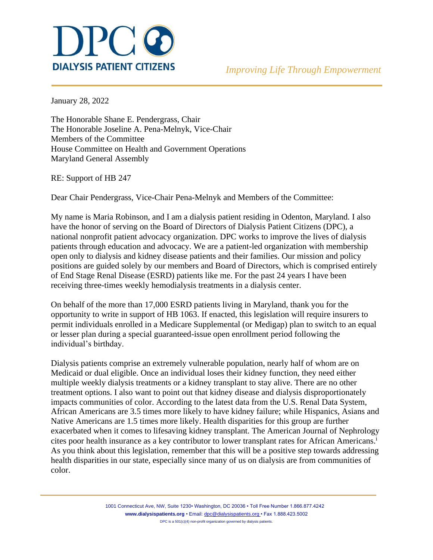

January 28, 2022

The Honorable Shane E. Pendergrass, Chair The Honorable Joseline A. Pena-Melnyk, Vice-Chair Members of the Committee House Committee on Health and Government Operations Maryland General Assembly

RE: Support of HB 247

Dear Chair Pendergrass, Vice-Chair Pena-Melnyk and Members of the Committee:

My name is Maria Robinson, and I am a dialysis patient residing in Odenton, Maryland. I also have the honor of serving on the Board of Directors of Dialysis Patient Citizens (DPC), a national nonprofit patient advocacy organization. DPC works to improve the lives of dialysis patients through education and advocacy. We are a patient-led organization with membership open only to dialysis and kidney disease patients and their families. Our mission and policy positions are guided solely by our members and Board of Directors, which is comprised entirely of End Stage Renal Disease (ESRD) patients like me. For the past 24 years I have been receiving three-times weekly hemodialysis treatments in a dialysis center.

On behalf of the more than 17,000 ESRD patients living in Maryland, thank you for the opportunity to write in support of HB 1063. If enacted, this legislation will require insurers to permit individuals enrolled in a Medicare Supplemental (or Medigap) plan to switch to an equal or lesser plan during a special guaranteed-issue open enrollment period following the individual's birthday.

Dialysis patients comprise an extremely vulnerable population, nearly half of whom are on Medicaid or dual eligible. Once an individual loses their kidney function, they need either multiple weekly dialysis treatments or a kidney transplant to stay alive. There are no other treatment options. I also want to point out that kidney disease and dialysis disproportionately impacts communities of color. According to the latest data from the U.S. Renal Data System, African Americans are 3.5 times more likely to have kidney failure; while Hispanics, Asians and Native Americans are 1.5 times more likely. Health disparities for this group are further exacerbated when it comes to lifesaving kidney transplant. The American Journal of Nephrology cites poor health insurance as a key contributor to lower transplant rates for African Americans.<sup>i</sup> As you think about this legislation, remember that this will be a positive step towards addressing health disparities in our state, especially since many of us on dialysis are from communities of color.

> 1001 Connecticut Ave, NW, Suite 1230• Washington, DC 20036 • Toll Free Number 1.866.877.4242 **[www.dialysispatients.org](http://www.dialysispatients.org/)** • Email: [dpc@dialysispatients.org •](mailto:dpc@dialysispatients.org) Fax 1.888.423.5002 DPC is a 501(c)(4) non-profit organization governed by dialysis patients.